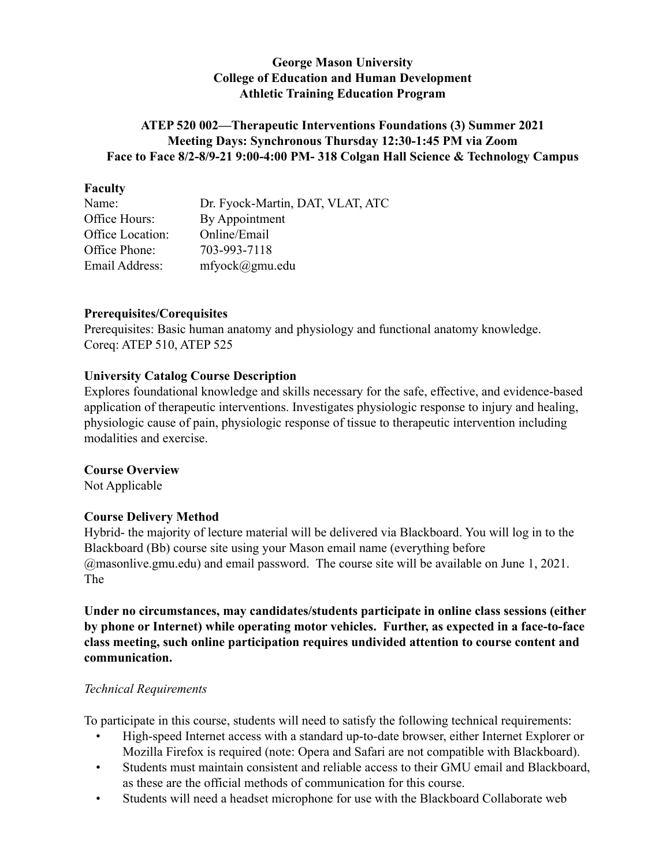## **George Mason University College of Education and Human Development Athletic Training Education Program**

## **ATEP 520 002—Therapeutic Interventions Foundations (3) Summer 2021 Meeting Days: Synchronous Thursday 12:30-1:45 PM via Zoom Face to Face 8/2-8/9-21 9:00-4:00 PM- 318 Colgan Hall Science & Technology Campus**

#### **Faculty**

| Name:            | Dr. Fyock-Martin, DAT, VLAT, ATC |
|------------------|----------------------------------|
| Office Hours:    | By Appointment                   |
| Office Location: | Online/Email                     |
| Office Phone:    | 703-993-7118                     |
| Email Address:   | $m$ fyock $(a)$ gmu.edu          |
|                  |                                  |

#### **Prerequisites/Corequisites**

Prerequisites: Basic human anatomy and physiology and functional anatomy knowledge. Coreq: ATEP 510, ATEP 525

## **University Catalog Course Description**

Explores foundational knowledge and skills necessary for the safe, effective, and evidence-based application of therapeutic interventions. Investigates physiologic response to injury and healing, physiologic cause of pain, physiologic response of tissue to therapeutic intervention including modalities and exercise.

#### **Course Overview**

Not Applicable

## **Course Delivery Method**

Hybrid- the majority of lecture material will be delivered via Blackboard. You will log in to the Blackboard (Bb) course site using your Mason email name (everything before @masonlive.gmu.edu) and email password. The course site will be available on June 1, 2021. The

**Under no circumstances, may candidates/students participate in online class sessions (either by phone or Internet) while operating motor vehicles. Further, as expected in a face-to-face class meeting, such online participation requires undivided attention to course content and communication.**

#### *Technical Requirements*

To participate in this course, students will need to satisfy the following technical requirements:

- High-speed Internet access with a standard up-to-date browser, either Internet Explorer or Mozilla Firefox is required (note: Opera and Safari are not compatible with Blackboard).
- Students must maintain consistent and reliable access to their GMU email and Blackboard, as these are the official methods of communication for this course.
- Students will need a headset microphone for use with the Blackboard Collaborate web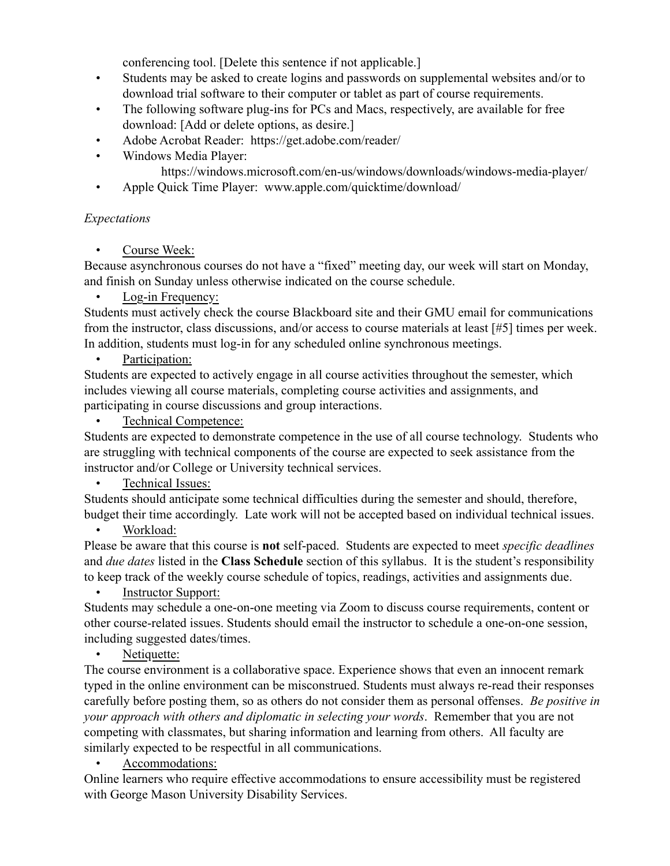conferencing tool. [Delete this sentence if not applicable.]

- Students may be asked to create logins and passwords on supplemental websites and/or to download trial software to their computer or tablet as part of course requirements.
- The following software plug-ins for PCs and Macs, respectively, are available for free download: [Add or delete options, as desire.]
- Adobe Acrobat Reader: https://get.adobe.com/reader/
- Windows Media Player:
	- https://windows.microsoft.com/en-us/windows/downloads/windows-media-player/
- Apple Quick Time Player: www.apple.com/quicktime/download/

## *Expectations*

Course Week:

Because asynchronous courses do not have a "fixed" meeting day, our week will start on Monday, and finish on Sunday unless otherwise indicated on the course schedule.

Log-in Frequency:

Students must actively check the course Blackboard site and their GMU email for communications from the instructor, class discussions, and/or access to course materials at least [#5] times per week. In addition, students must log-in for any scheduled online synchronous meetings.

## Participation:

Students are expected to actively engage in all course activities throughout the semester, which includes viewing all course materials, completing course activities and assignments, and participating in course discussions and group interactions.

Technical Competence:

Students are expected to demonstrate competence in the use of all course technology. Students who are struggling with technical components of the course are expected to seek assistance from the instructor and/or College or University technical services.

## Technical Issues:

Students should anticipate some technical difficulties during the semester and should, therefore, budget their time accordingly. Late work will not be accepted based on individual technical issues.

## Workload:

Please be aware that this course is **not** self-paced. Students are expected to meet *specific deadlines*  and *due dates* listed in the **Class Schedule** section of this syllabus. It is the student's responsibility to keep track of the weekly course schedule of topics, readings, activities and assignments due.

**Instructor Support:** 

Students may schedule a one-on-one meeting via Zoom to discuss course requirements, content or other course-related issues. Students should email the instructor to schedule a one-on-one session, including suggested dates/times.

# Netiquette:

The course environment is a collaborative space. Experience shows that even an innocent remark typed in the online environment can be misconstrued. Students must always re-read their responses carefully before posting them, so as others do not consider them as personal offenses. *Be positive in your approach with others and diplomatic in selecting your words*. Remember that you are not competing with classmates, but sharing information and learning from others. All faculty are similarly expected to be respectful in all communications.

# Accommodations:

Online learners who require effective accommodations to ensure accessibility must be registered with George Mason University Disability Services.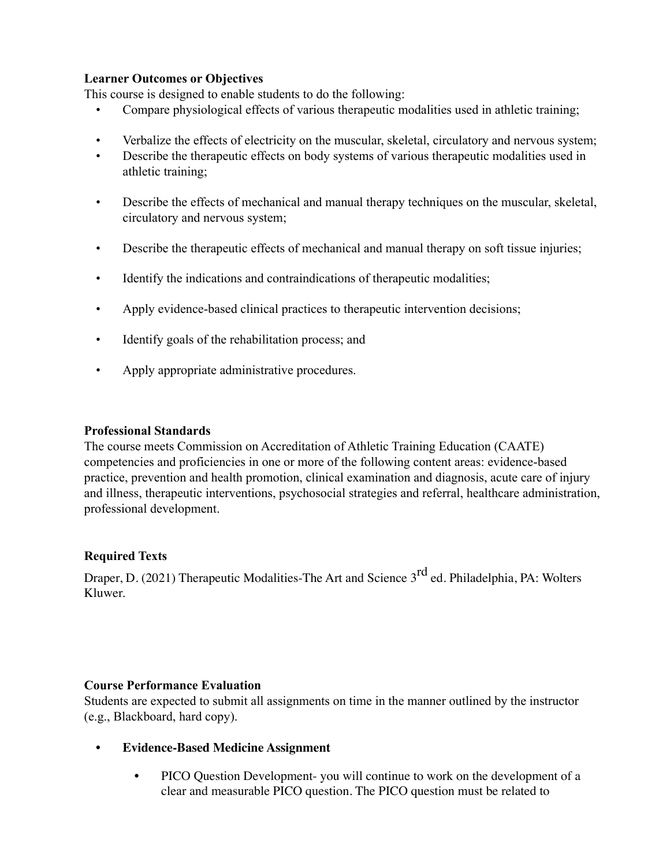## **Learner Outcomes or Objectives**

This course is designed to enable students to do the following:

- Compare physiological effects of various therapeutic modalities used in athletic training;
- Verbalize the effects of electricity on the muscular, skeletal, circulatory and nervous system;
- Describe the therapeutic effects on body systems of various therapeutic modalities used in athletic training;
- Describe the effects of mechanical and manual therapy techniques on the muscular, skeletal, circulatory and nervous system;
- Describe the therapeutic effects of mechanical and manual therapy on soft tissue injuries;
- Identify the indications and contraindications of therapeutic modalities;
- Apply evidence-based clinical practices to therapeutic intervention decisions;
- Identify goals of the rehabilitation process; and
- Apply appropriate administrative procedures.

#### **Professional Standards**

The course meets Commission on Accreditation of Athletic Training Education (CAATE) competencies and proficiencies in one or more of the following content areas: evidence-based practice, prevention and health promotion, clinical examination and diagnosis, acute care of injury and illness, therapeutic interventions, psychosocial strategies and referral, healthcare administration, professional development.

#### **Required Texts**

Draper, D. (2021) Therapeutic Modalities-The Art and Science 3<sup>rd</sup> ed. Philadelphia, PA: Wolters Kluwer.

#### **Course Performance Evaluation**

Students are expected to submit all assignments on time in the manner outlined by the instructor (e.g., Blackboard, hard copy).

- **Evidence-Based Medicine Assignment** 
	- PICO Question Development- you will continue to work on the development of a clear and measurable PICO question. The PICO question must be related to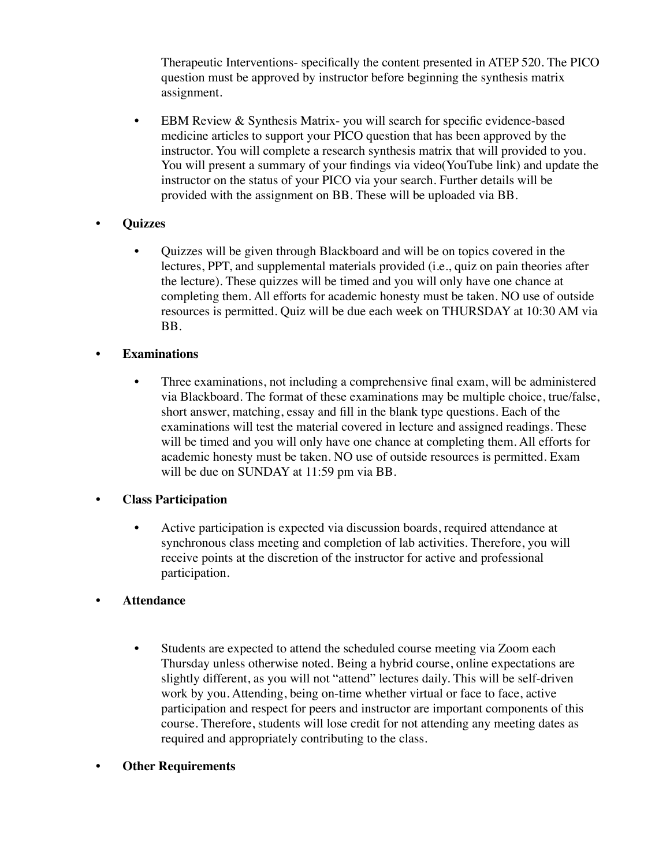Therapeutic Interventions- specifically the content presented in ATEP 520. The PICO question must be approved by instructor before beginning the synthesis matrix assignment.

• EBM Review & Synthesis Matrix-you will search for specific evidence-based medicine articles to support your PICO question that has been approved by the instructor. You will complete a research synthesis matrix that will provided to you. You will present a summary of your findings via video(YouTube link) and update the instructor on the status of your PICO via your search. Further details will be provided with the assignment on BB. These will be uploaded via BB.

## **• Quizzes**

• Quizzes will be given through Blackboard and will be on topics covered in the lectures, PPT, and supplemental materials provided (i.e., quiz on pain theories after the lecture). These quizzes will be timed and you will only have one chance at completing them. All efforts for academic honesty must be taken. NO use of outside resources is permitted. Quiz will be due each week on THURSDAY at 10:30 AM via BB.

## **• Examinations**

• Three examinations, not including a comprehensive final exam, will be administered via Blackboard. The format of these examinations may be multiple choice, true/false, short answer, matching, essay and fill in the blank type questions. Each of the examinations will test the material covered in lecture and assigned readings. These will be timed and you will only have one chance at completing them. All efforts for academic honesty must be taken. NO use of outside resources is permitted. Exam will be due on SUNDAY at 11:59 pm via BB.

## **• Class Participation**

• Active participation is expected via discussion boards, required attendance at synchronous class meeting and completion of lab activities. Therefore, you will receive points at the discretion of the instructor for active and professional participation.

## **• Attendance**

- Students are expected to attend the scheduled course meeting via Zoom each Thursday unless otherwise noted. Being a hybrid course, online expectations are slightly different, as you will not "attend" lectures daily. This will be self-driven work by you. Attending, being on-time whether virtual or face to face, active participation and respect for peers and instructor are important components of this course. Therefore, students will lose credit for not attending any meeting dates as required and appropriately contributing to the class.
- **Other Requirements**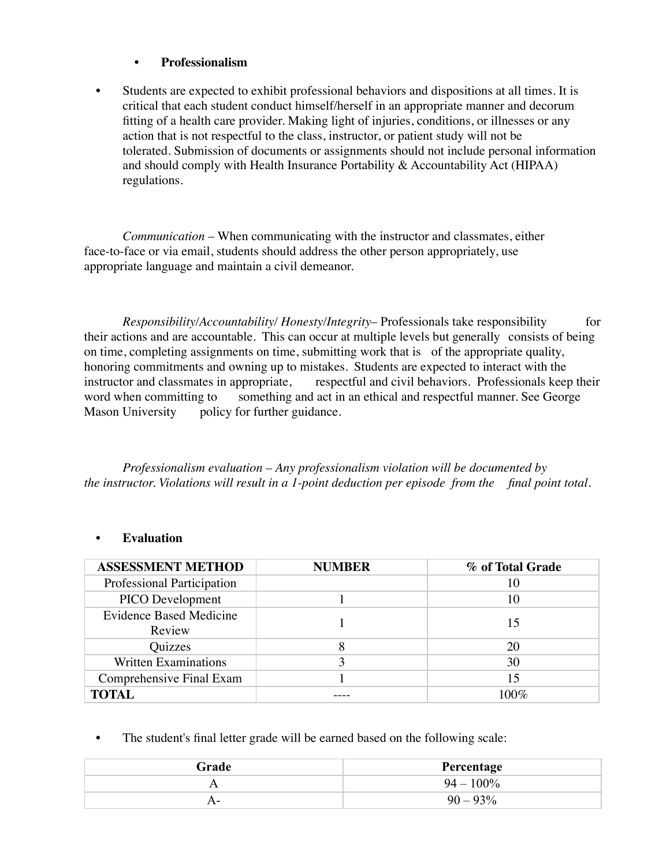#### **• Professionalism**

• Students are expected to exhibit professional behaviors and dispositions at all times. It is critical that each student conduct himself/herself in an appropriate manner and decorum fitting of a health care provider. Making light of injuries, conditions, or illnesses or any action that is not respectful to the class, instructor, or patient study will not be tolerated. Submission of documents or assignments should not include personal information and should comply with Health Insurance Portability & Accountability Act (HIPAA) regulations.

*Communication* – When communicating with the instructor and classmates, either face-to-face or via email, students should address the other person appropriately, use appropriate language and maintain a civil demeanor.

*Responsibility/Accountability/ Honesty/Integrity*– Professionals take responsibility for their actions and are accountable. This can occur at multiple levels but generally consists of being on time, completing assignments on time, submitting work that is of the appropriate quality, honoring commitments and owning up to mistakes. Students are expected to interact with the instructor and classmates in appropriate, respectful and civil behaviors. Professionals keep their word when committing to something and act in an ethical and respectful manner. See George Mason University policy for further guidance.

*Professionalism evaluation – Any professionalism violation will be documented by the instructor. Violations will result in a 1-point deduction per episode from the final point total.*

#### **• Evaluation**

| <b>ASSESSMENT METHOD</b>                 | <b>NUMBER</b> | % of Total Grade |
|------------------------------------------|---------------|------------------|
| Professional Participation               |               | 10               |
| PICO Development                         |               | 10               |
| <b>Evidence Based Medicine</b><br>Review |               | 15               |
| Quizzes                                  |               | 20               |
| <b>Written Examinations</b>              |               | 30               |
| Comprehensive Final Exam                 |               | 15               |
| <b>TOTAL</b>                             |               | 100\%            |

The student's final letter grade will be earned based on the following scale:

| Grade | Percentage   |
|-------|--------------|
|       | $94 - 100\%$ |
| A –   | $90 - 93\%$  |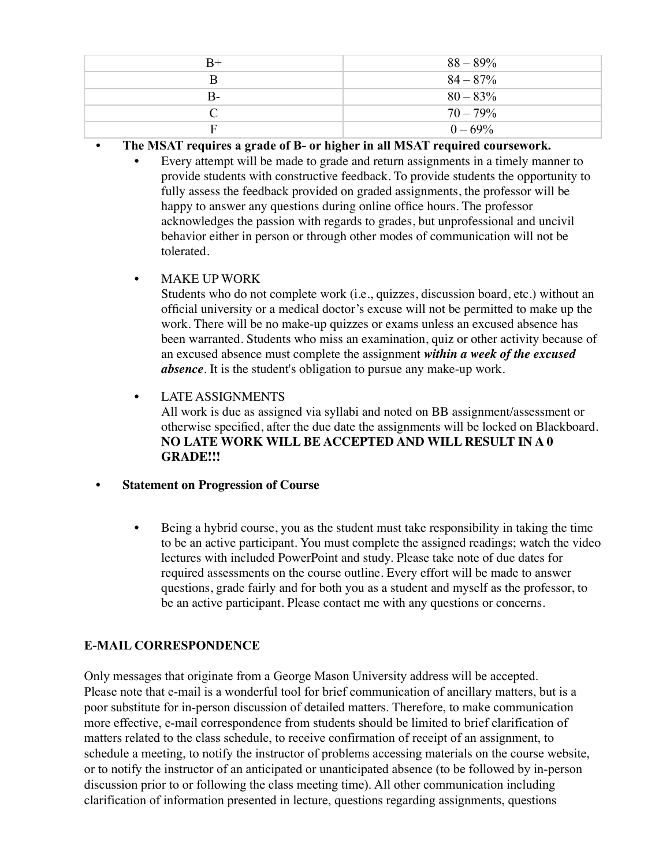| $B+$ | $88 - 89\%$ |
|------|-------------|
|      | $84 - 87\%$ |
| B-   | $80 - 83\%$ |
|      | $70 - 79\%$ |
| F    | $0 - 69\%$  |

- **The MSAT requires a grade of B- or higher in all MSAT required coursework.** 
	- Every attempt will be made to grade and return assignments in a timely manner to provide students with constructive feedback. To provide students the opportunity to fully assess the feedback provided on graded assignments, the professor will be happy to answer any questions during online office hours. The professor acknowledges the passion with regards to grades, but unprofessional and uncivil behavior either in person or through other modes of communication will not be tolerated.
	- MAKE UP WORK

Students who do not complete work (i.e., quizzes, discussion board, etc.) without an official university or a medical doctor's excuse will not be permitted to make up the work. There will be no make-up quizzes or exams unless an excused absence has been warranted. Students who miss an examination, quiz or other activity because of an excused absence must complete the assignment *within a week of the excused absence*. It is the student's obligation to pursue any make-up work.

• LATE ASSIGNMENTS All work is due as assigned via syllabi and noted on BB assignment/assessment or otherwise specified, after the due date the assignments will be locked on Blackboard. **NO LATE WORK WILL BE ACCEPTED AND WILL RESULT IN A 0 GRADE!!!** 

- **Statement on Progression of Course**
	- Being a hybrid course, you as the student must take responsibility in taking the time to be an active participant. You must complete the assigned readings; watch the video lectures with included PowerPoint and study. Please take note of due dates for required assessments on the course outline. Every effort will be made to answer questions, grade fairly and for both you as a student and myself as the professor, to be an active participant. Please contact me with any questions or concerns.

# **E-MAIL CORRESPONDENCE**

Only messages that originate from a George Mason University address will be accepted. Please note that e-mail is a wonderful tool for brief communication of ancillary matters, but is a poor substitute for in-person discussion of detailed matters. Therefore, to make communication more effective, e-mail correspondence from students should be limited to brief clarification of matters related to the class schedule, to receive confirmation of receipt of an assignment, to schedule a meeting, to notify the instructor of problems accessing materials on the course website, or to notify the instructor of an anticipated or unanticipated absence (to be followed by in-person discussion prior to or following the class meeting time). All other communication including clarification of information presented in lecture, questions regarding assignments, questions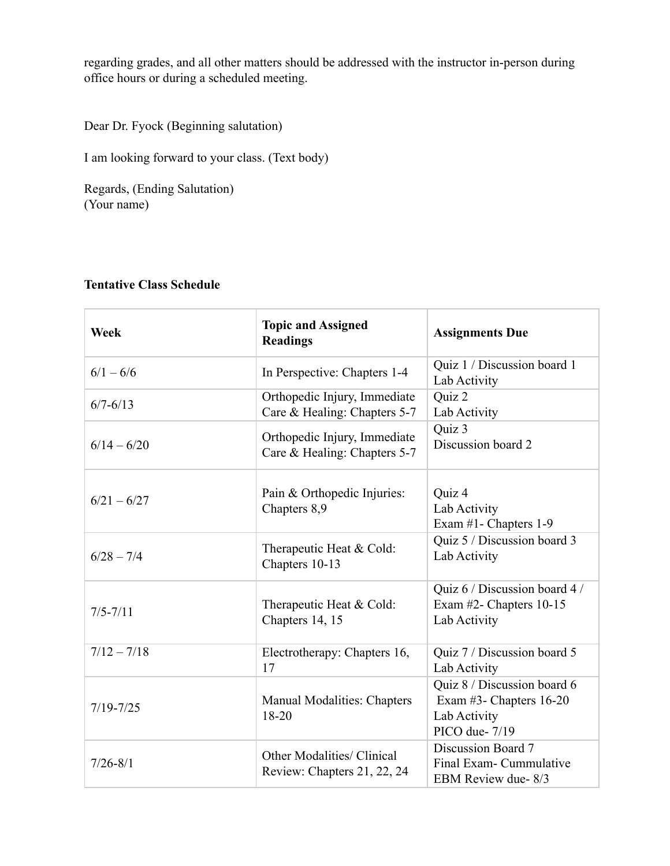regarding grades, and all other matters should be addressed with the instructor in-person during office hours or during a scheduled meeting.

Dear Dr. Fyock (Beginning salutation)

I am looking forward to your class. (Text body)

Regards, (Ending Salutation) (Your name)

# **Tentative Class Schedule**

| Week          | <b>Topic and Assigned</b><br><b>Readings</b>                     | <b>Assignments Due</b>                                                                      |
|---------------|------------------------------------------------------------------|---------------------------------------------------------------------------------------------|
| $6/1 - 6/6$   | In Perspective: Chapters 1-4                                     | Quiz 1 / Discussion board 1<br>Lab Activity                                                 |
| $6/7 - 6/13$  | Orthopedic Injury, Immediate<br>Care & Healing: Chapters 5-7     | Quiz 2<br>Lab Activity                                                                      |
| $6/14 - 6/20$ | Orthopedic Injury, Immediate<br>Care & Healing: Chapters 5-7     | Quiz 3<br>Discussion board 2                                                                |
| $6/21 - 6/27$ | Pain & Orthopedic Injuries:<br>Chapters 8,9                      | Quiz 4<br>Lab Activity<br>Exam #1- Chapters 1-9                                             |
| $6/28 - 7/4$  | Therapeutic Heat & Cold:<br>Chapters 10-13                       | Quiz 5 / Discussion board 3<br>Lab Activity                                                 |
| $7/5 - 7/11$  | Therapeutic Heat & Cold:<br>Chapters 14, 15                      | Quiz 6 / Discussion board 4 /<br>Exam #2- Chapters 10-15<br>Lab Activity                    |
| $7/12 - 7/18$ | Electrotherapy: Chapters 16,<br>17                               | Quiz 7 / Discussion board 5<br>Lab Activity                                                 |
| $7/19 - 7/25$ | <b>Manual Modalities: Chapters</b><br>18-20                      | Quiz 8 / Discussion board 6<br>Exam $#3$ - Chapters 16-20<br>Lab Activity<br>PICO due- 7/19 |
| $7/26 - 8/1$  | <b>Other Modalities/ Clinical</b><br>Review: Chapters 21, 22, 24 | Discussion Board 7<br>Final Exam- Cummulative<br>EBM Review due-8/3                         |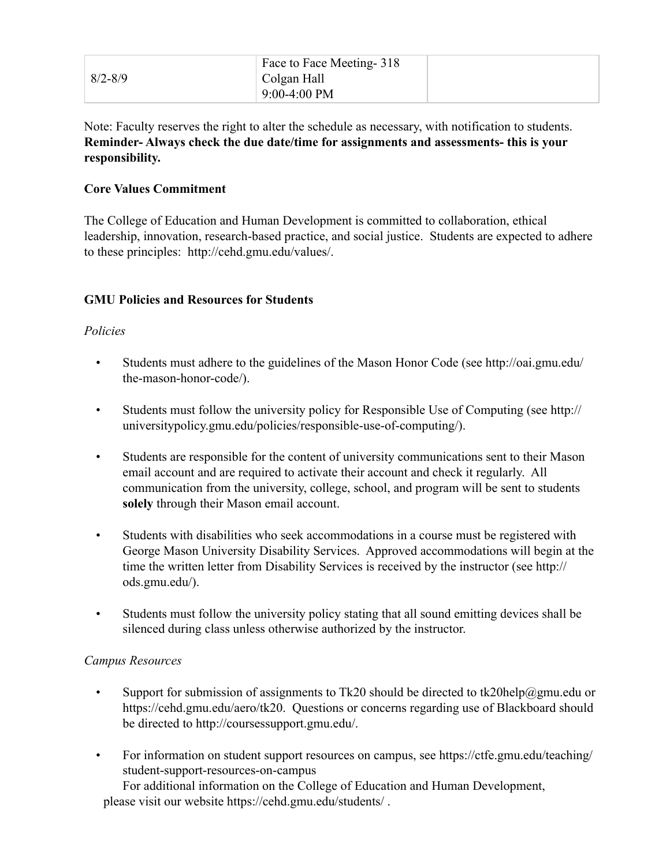|             | Face to Face Meeting - 318 |  |
|-------------|----------------------------|--|
| $8/2 - 8/9$ | Colgan Hall                |  |
|             | $9:00-4:00$ PM             |  |

Note: Faculty reserves the right to alter the schedule as necessary, with notification to students. **Reminder- Always check the due date/time for assignments and assessments- this is your responsibility.** 

## **Core Values Commitment**

The College of Education and Human Development is committed to collaboration, ethical leadership, innovation, research-based practice, and social justice. Students are expected to adhere to these principles: http://cehd.gmu.edu/values/.

## **GMU Policies and Resources for Students**

## *Policies*

- Students must adhere to the guidelines of the Mason Honor Code (see http://oai.gmu.edu/ the-mason-honor-code/).
- Students must follow the university policy for Responsible Use of Computing (see http:// universitypolicy.gmu.edu/policies/responsible-use-of-computing/).
- Students are responsible for the content of university communications sent to their Mason email account and are required to activate their account and check it regularly. All communication from the university, college, school, and program will be sent to students **solely** through their Mason email account.
- Students with disabilities who seek accommodations in a course must be registered with George Mason University Disability Services. Approved accommodations will begin at the time the written letter from Disability Services is received by the instructor (see http:// ods.gmu.edu/).
- Students must follow the university policy stating that all sound emitting devices shall be silenced during class unless otherwise authorized by the instructor.

## *Campus Resources*

- Support for submission of assignments to Tk20 should be directed to tk20help@gmu.edu or https://cehd.gmu.edu/aero/tk20. Questions or concerns regarding use of Blackboard should be directed to http://coursessupport.gmu.edu/.
- For information on student support resources on campus, see https://ctfe.gmu.edu/teaching/ student-support-resources-on-campus

For additional information on the College of Education and Human Development, please visit our website https://cehd.gmu.edu/students/ .